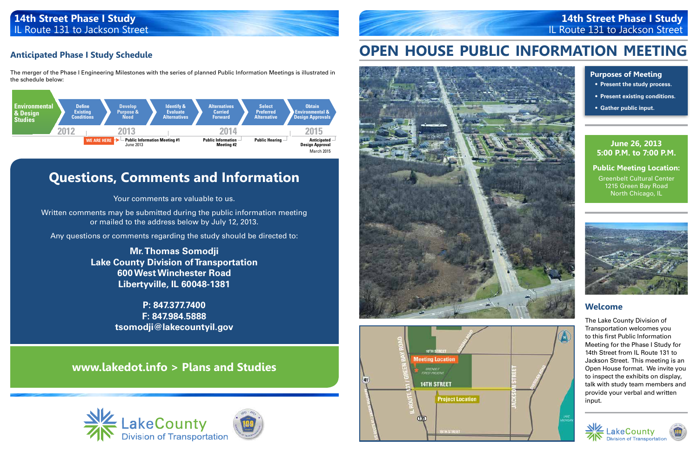## **Anticipated Phase I Study Schedule**

The merger of the Phase I Engineering Milestones with the series of planned Public Information Meetings is illustrated in the schedule below:



## **14th Street Phase I Study** IL Route 131 to Jackson Street

# **Questions, Comments and Information**

Your comments are valuable to us.

Written comments may be submitted during the public information meeting or mailed to the address below by July 12, 2013.

Any questions or comments regarding the study should be directed to:

**Mr. Thomas Somodji Lake County Division of Transportation 600 West Winchester Road Libertyville, IL 60048-1381**

> **P: 847.377.7400 F: 847.984.5888 tsomodji@lakecountyil.gov**

# **www.lakedot.info > Plans and Studies**







# **OPEN HOUSE PUBLIC INFORMATION MEETING**





#### **June 26, 2013 5:00 P.M. to 7:00 P.M.**

**Public Meeting Location:** Greenbelt Cultural Center 1215 Green Bay Road North Chicago, IL



# **14th Street Phase I Study** IL Route 131 to Jackson Street

### **Welcome**

The Lake County Division of Transportation welcomes you to this first Public Information Meeting for the Phase I Study for 14th Street from IL Route 131 to Jackson Street. This meeting is an Open House format. We invite you to inspect the exhibits on display, talk with study team members and provide your verbal and written input.





#### **Purposes of Meeting**

- **• Present the study process.**
- **• Present existing conditions.**
- **• Gather public input.**